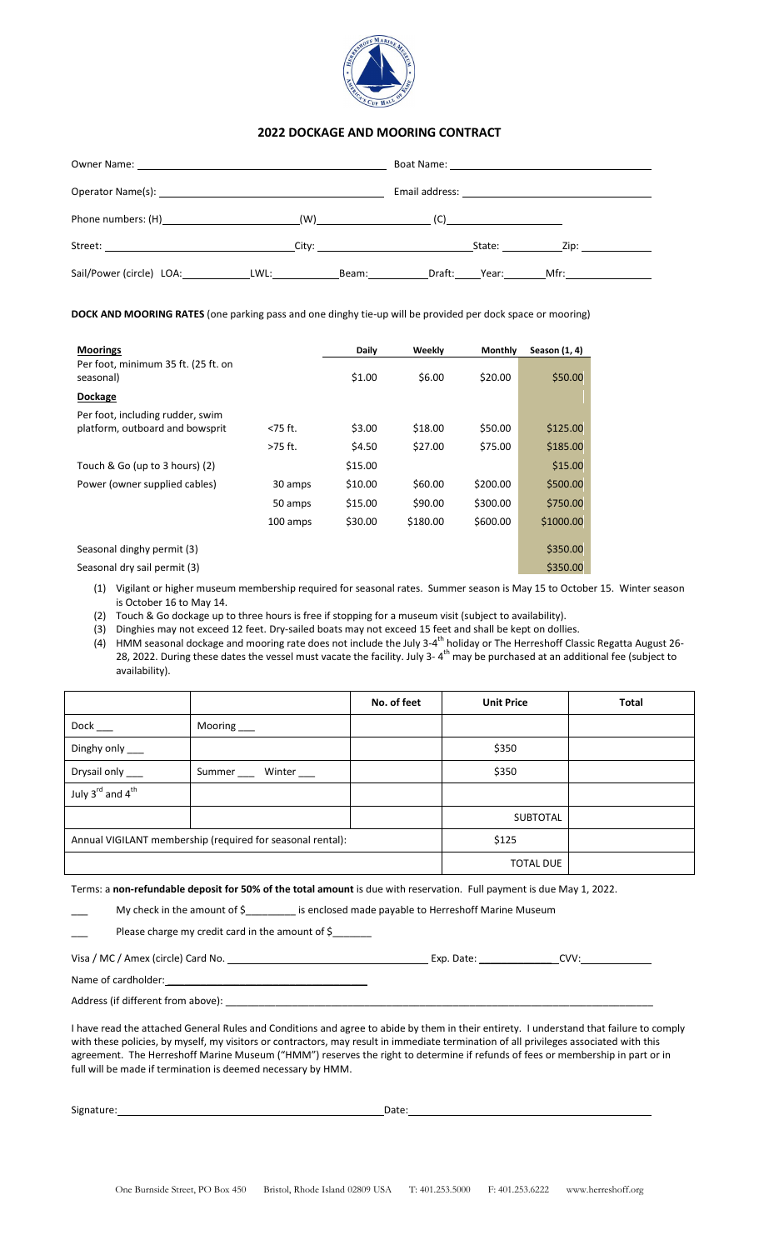

## **2022 DOCKAGE AND MOORING CONTRACT**

| Sail/Power (circle) LOA: LWL: LWL: |  | Beam: the control of the control of the control of the control of the control of the control of the control of |  | Draft: Year: Mfr: |  |
|------------------------------------|--|----------------------------------------------------------------------------------------------------------------|--|-------------------|--|

**DOCK AND MOORING RATES** (one parking pass and one dinghy tie-up will be provided per dock space or mooring)

| <b>Moorings</b>                                  |            | Daily   | Weekly   | <b>Monthly</b> | Season (1, 4) |
|--------------------------------------------------|------------|---------|----------|----------------|---------------|
| Per foot, minimum 35 ft. (25 ft. on<br>seasonal) |            | \$1.00  | \$6.00   | \$20.00        | \$50.00       |
| Dockage                                          |            |         |          |                |               |
| Per foot, including rudder, swim                 |            |         |          |                |               |
| platform, outboard and bowsprit                  | $<$ 75 ft. | \$3.00  | \$18.00  | \$50.00        | \$125.00      |
|                                                  | >75 ft.    | \$4.50  | \$27.00  | \$75.00        | \$185.00      |
| Touch & Go (up to 3 hours) (2)                   |            | \$15.00 |          |                | \$15.00       |
| Power (owner supplied cables)                    | 30 amps    | \$10.00 | \$60.00  | \$200.00       | \$500.00      |
|                                                  | 50 amps    | \$15.00 | \$90.00  | \$300.00       | \$750.00      |
|                                                  | 100 amps   | \$30.00 | \$180.00 | \$600.00       | \$1000.00     |
| Seasonal dinghy permit (3)                       |            |         |          |                | \$350.00      |
| Seasonal dry sail permit (3)                     |            |         |          |                | \$350.00      |

(1) Vigilant or higher museum membership required for seasonal rates. Summer season is May 15 to October 15. Winter season is October 16 to May 14.

(2) Touch & Go dockage up to three hours is free if stopping for a museum visit (subject to availability).

(3) Dinghies may not exceed 12 feet. Dry-sailed boats may not exceed 15 feet and shall be kept on dollies.

(4) HMM seasonal dockage and mooring rate does not include the July 3-4<sup>th</sup> holiday or The Herreshoff Classic Regatta August 26-28, 2022. During these dates the vessel must vacate the facility. July 3-4<sup>th</sup> may be purchased at an additional fee (subject to availability).

|                                                            |                          | No. of feet | <b>Unit Price</b> | <b>Total</b> |
|------------------------------------------------------------|--------------------------|-------------|-------------------|--------------|
| Dock                                                       | Mooring ___              |             |                   |              |
| Dinghy only ___                                            |                          |             | \$350             |              |
| Drysail only ___                                           | Summer _____ Winter ____ |             | \$350             |              |
| July 3rd and 4 <sup>th</sup>                               |                          |             |                   |              |
|                                                            |                          |             | <b>SUBTOTAL</b>   |              |
| Annual VIGILANT membership (required for seasonal rental): |                          | \$125       |                   |              |
|                                                            |                          |             | <b>TOTAL DUE</b>  |              |

Terms: a **non-refundable deposit for 50% of the total amount** is due with reservation. Full payment is due May 1, 2022.

My check in the amount of \$\_\_\_\_\_\_\_\_\_ is enclosed made payable to Herreshoff Marine Museum

Please charge my credit card in the amount of \$

Visa / MC / Amex (circle) Card No. Exp. Date: \_\_\_\_\_\_\_\_\_\_\_\_\_ CVV: Name of cardholder:

Address (if different from above):

I have read the attached General Rules and Conditions and agree to abide by them in their entirety. I understand that failure to comply with these policies, by myself, my visitors or contractors, may result in immediate termination of all privileges associated with this agreement. The Herreshoff Marine Museum ("HMM") reserves the right to determine if refunds of fees or membership in part or in full will be made if termination is deemed necessary by HMM.

Signature: Date: